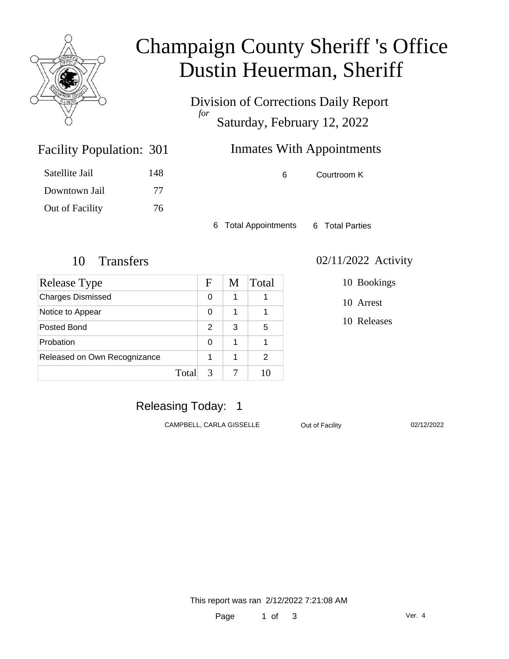

# Champaign County Sheriff 's Office Dustin Heuerman, Sheriff

Division of Corrections Daily Report *for* Saturday, February 12, 2022

### Inmates With Appointments

6 Courtroom K

6 Total Appointments 6 Total Parties

Facility Population: 301

Satellite Jail 148

Downtown Jail 77

Out of Facility 76

| Release Type                 |       | F             | M | Total |
|------------------------------|-------|---------------|---|-------|
| <b>Charges Dismissed</b>     |       | 0             | 1 |       |
| Notice to Appear             |       | 0             | 1 |       |
| Posted Bond                  |       | $\mathcal{P}$ | 3 | 5     |
| Probation                    |       | 0             | 1 |       |
| Released on Own Recognizance |       | 1             | 1 | 2     |
|                              | Total | 3             |   | 10    |

#### 10 Transfers 02/11/2022 Activity

10 Bookings

10 Arrest

10 Releases

### Releasing Today: 1

CAMPBELL, CARLA GISSELLE **Out of Facility** 02/12/2022

This report was ran 2/12/2022 7:21:08 AM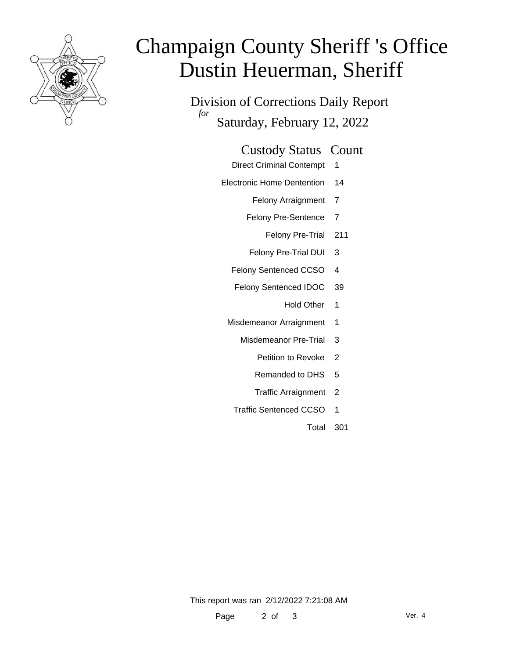

# Champaign County Sheriff 's Office Dustin Heuerman, Sheriff

Division of Corrections Daily Report *for* Saturday, February 12, 2022

#### Custody Status Count

- Direct Criminal Contempt 1
- Electronic Home Dentention 14
	- Felony Arraignment 7
	- Felony Pre-Sentence 7
		- Felony Pre-Trial 211
	- Felony Pre-Trial DUI 3
	- Felony Sentenced CCSO 4
	- Felony Sentenced IDOC 39
		- Hold Other 1
	- Misdemeanor Arraignment 1
		- Misdemeanor Pre-Trial 3
			- Petition to Revoke 2
			- Remanded to DHS 5
			- Traffic Arraignment 2
		- Traffic Sentenced CCSO 1
			- Total 301

This report was ran 2/12/2022 7:21:08 AM